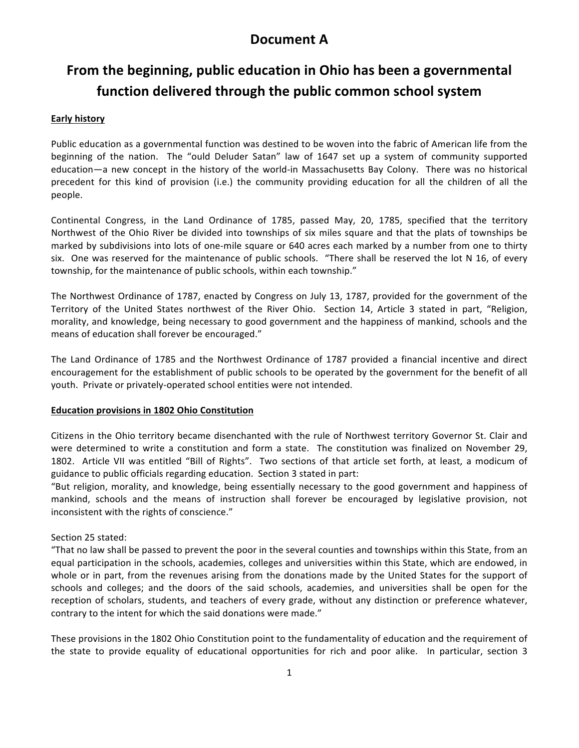## **Document A**

# From the beginning, public education in Ohio has been a governmental **function delivered through the public common school system**

#### **Early history**

Public education as a governmental function was destined to be woven into the fabric of American life from the beginning of the nation. The "ould Deluder Satan" law of 1647 set up a system of community supported education—a new concept in the history of the world-in Massachusetts Bay Colony. There was no historical precedent for this kind of provision (i.e.) the community providing education for all the children of all the people.

Continental Congress, in the Land Ordinance of 1785, passed May, 20, 1785, specified that the territory Northwest of the Ohio River be divided into townships of six miles square and that the plats of townships be marked by subdivisions into lots of one-mile square or 640 acres each marked by a number from one to thirty six. One was reserved for the maintenance of public schools. "There shall be reserved the lot N 16, of every township, for the maintenance of public schools, within each township."

The Northwest Ordinance of 1787, enacted by Congress on July 13, 1787, provided for the government of the Territory of the United States northwest of the River Ohio. Section 14, Article 3 stated in part, "Religion, morality, and knowledge, being necessary to good government and the happiness of mankind, schools and the means of education shall forever be encouraged."

The Land Ordinance of 1785 and the Northwest Ordinance of 1787 provided a financial incentive and direct encouragement for the establishment of public schools to be operated by the government for the benefit of all youth. Private or privately-operated school entities were not intended.

#### **Education provisions in 1802 Ohio Constitution**

Citizens in the Ohio territory became disenchanted with the rule of Northwest territory Governor St. Clair and were determined to write a constitution and form a state. The constitution was finalized on November 29, 1802. Article VII was entitled "Bill of Rights". Two sections of that article set forth, at least, a modicum of guidance to public officials regarding education. Section 3 stated in part:

"But religion, morality, and knowledge, being essentially necessary to the good government and happiness of mankind, schools and the means of instruction shall forever be encouraged by legislative provision, not inconsistent with the rights of conscience."

#### Section 25 stated:

"That no law shall be passed to prevent the poor in the several counties and townships within this State, from an equal participation in the schools, academies, colleges and universities within this State, which are endowed, in whole or in part, from the revenues arising from the donations made by the United States for the support of schools and colleges; and the doors of the said schools, academies, and universities shall be open for the reception of scholars, students, and teachers of every grade, without any distinction or preference whatever, contrary to the intent for which the said donations were made."

These provisions in the 1802 Ohio Constitution point to the fundamentality of education and the requirement of the state to provide equality of educational opportunities for rich and poor alike. In particular, section 3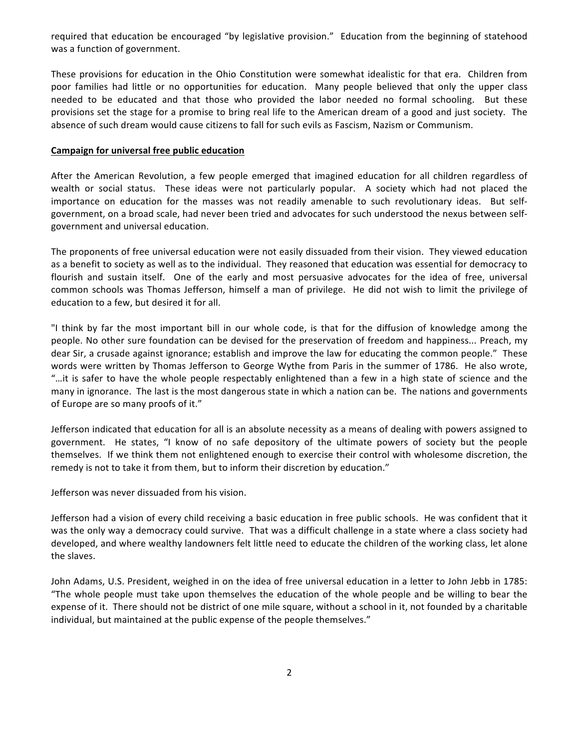required that education be encouraged "by legislative provision." Education from the beginning of statehood was a function of government.

These provisions for education in the Ohio Constitution were somewhat idealistic for that era. Children from poor families had little or no opportunities for education. Many people believed that only the upper class needed to be educated and that those who provided the labor needed no formal schooling. But these provisions set the stage for a promise to bring real life to the American dream of a good and just society. The absence of such dream would cause citizens to fall for such evils as Fascism, Nazism or Communism.

#### **Campaign for universal free public education**

After the American Revolution, a few people emerged that imagined education for all children regardless of wealth or social status. These ideas were not particularly popular. A society which had not placed the importance on education for the masses was not readily amenable to such revolutionary ideas. But selfgovernment, on a broad scale, had never been tried and advocates for such understood the nexus between selfgovernment and universal education.

The proponents of free universal education were not easily dissuaded from their vision. They viewed education as a benefit to society as well as to the individual. They reasoned that education was essential for democracy to flourish and sustain itself. One of the early and most persuasive advocates for the idea of free, universal common schools was Thomas Jefferson, himself a man of privilege. He did not wish to limit the privilege of education to a few, but desired it for all.

"I think by far the most important bill in our whole code, is that for the diffusion of knowledge among the people. No other sure foundation can be devised for the preservation of freedom and happiness... Preach, my dear Sir, a crusade against ignorance; establish and improve the law for educating the common people." These words were written by Thomas Jefferson to George Wythe from Paris in the summer of 1786. He also wrote, "...it is safer to have the whole people respectably enlightened than a few in a high state of science and the many in ignorance. The last is the most dangerous state in which a nation can be. The nations and governments of Europe are so many proofs of it."

Jefferson indicated that education for all is an absolute necessity as a means of dealing with powers assigned to government. He states, "I know of no safe depository of the ultimate powers of society but the people themselves. If we think them not enlightened enough to exercise their control with wholesome discretion, the remedy is not to take it from them, but to inform their discretion by education."

Jefferson was never dissuaded from his vision.

Jefferson had a vision of every child receiving a basic education in free public schools. He was confident that it was the only way a democracy could survive. That was a difficult challenge in a state where a class society had developed, and where wealthy landowners felt little need to educate the children of the working class, let alone the slaves.

John Adams, U.S. President, weighed in on the idea of free universal education in a letter to John Jebb in 1785: "The whole people must take upon themselves the education of the whole people and be willing to bear the expense of it. There should not be district of one mile square, without a school in it, not founded by a charitable individual, but maintained at the public expense of the people themselves."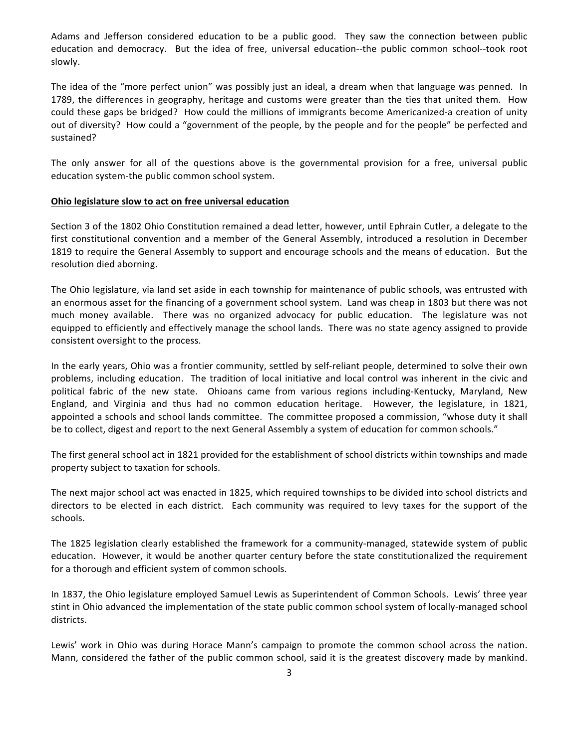Adams and Jefferson considered education to be a public good. They saw the connection between public education and democracy. But the idea of free, universal education--the public common school--took root slowly.

The idea of the "more perfect union" was possibly just an ideal, a dream when that language was penned. In 1789, the differences in geography, heritage and customs were greater than the ties that united them. How could these gaps be bridged? How could the millions of immigrants become Americanized-a creation of unity out of diversity? How could a "government of the people, by the people and for the people" be perfected and sustained?

The only answer for all of the questions above is the governmental provision for a free, universal public education system-the public common school system.

#### **Ohio legislature slow to act on free universal education**

Section 3 of the 1802 Ohio Constitution remained a dead letter, however, until Ephrain Cutler, a delegate to the first constitutional convention and a member of the General Assembly, introduced a resolution in December 1819 to require the General Assembly to support and encourage schools and the means of education. But the resolution died aborning.

The Ohio legislature, via land set aside in each township for maintenance of public schools, was entrusted with an enormous asset for the financing of a government school system. Land was cheap in 1803 but there was not much money available. There was no organized advocacy for public education. The legislature was not equipped to efficiently and effectively manage the school lands. There was no state agency assigned to provide consistent oversight to the process.

In the early years, Ohio was a frontier community, settled by self-reliant people, determined to solve their own problems, including education. The tradition of local initiative and local control was inherent in the civic and political fabric of the new state. Ohioans came from various regions including-Kentucky, Maryland, New England, and Virginia and thus had no common education heritage. However, the legislature, in 1821, appointed a schools and school lands committee. The committee proposed a commission, "whose duty it shall be to collect, digest and report to the next General Assembly a system of education for common schools."

The first general school act in 1821 provided for the establishment of school districts within townships and made property subject to taxation for schools.

The next major school act was enacted in 1825, which required townships to be divided into school districts and directors to be elected in each district. Each community was required to levy taxes for the support of the schools.

The 1825 legislation clearly established the framework for a community-managed, statewide system of public education. However, it would be another quarter century before the state constitutionalized the requirement for a thorough and efficient system of common schools.

In 1837, the Ohio legislature employed Samuel Lewis as Superintendent of Common Schools. Lewis' three year stint in Ohio advanced the implementation of the state public common school system of locally-managed school districts.

Lewis' work in Ohio was during Horace Mann's campaign to promote the common school across the nation. Mann, considered the father of the public common school, said it is the greatest discovery made by mankind.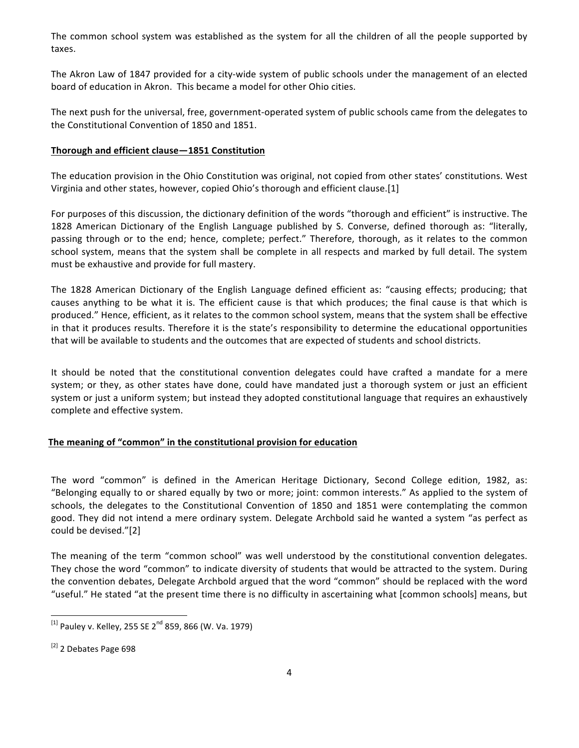The common school system was established as the system for all the children of all the people supported by taxes.

The Akron Law of 1847 provided for a city-wide system of public schools under the management of an elected board of education in Akron. This became a model for other Ohio cities.

The next push for the universal, free, government-operated system of public schools came from the delegates to the Constitutional Convention of 1850 and 1851.

#### **Thorough and efficient clause-1851 Constitution**

The education provision in the Ohio Constitution was original, not copied from other states' constitutions. West Virginia and other states, however, copied Ohio's thorough and efficient clause.[1]

For purposes of this discussion, the dictionary definition of the words "thorough and efficient" is instructive. The 1828 American Dictionary of the English Language published by S. Converse, defined thorough as: "literally, passing through or to the end; hence, complete; perfect." Therefore, thorough, as it relates to the common school system, means that the system shall be complete in all respects and marked by full detail. The system must be exhaustive and provide for full mastery.

The 1828 American Dictionary of the English Language defined efficient as: "causing effects; producing; that causes anything to be what it is. The efficient cause is that which produces; the final cause is that which is produced." Hence, efficient, as it relates to the common school system, means that the system shall be effective in that it produces results. Therefore it is the state's responsibility to determine the educational opportunities that will be available to students and the outcomes that are expected of students and school districts.

It should be noted that the constitutional convention delegates could have crafted a mandate for a mere system; or they, as other states have done, could have mandated just a thorough system or just an efficient system or just a uniform system; but instead they adopted constitutional language that requires an exhaustively complete and effective system.

#### The meaning of "common" in the constitutional provision for education

The word "common" is defined in the American Heritage Dictionary, Second College edition, 1982, as: "Belonging equally to or shared equally by two or more; joint: common interests." As applied to the system of schools, the delegates to the Constitutional Convention of 1850 and 1851 were contemplating the common good. They did not intend a mere ordinary system. Delegate Archbold said he wanted a system "as perfect as could be devised."[2]

The meaning of the term "common school" was well understood by the constitutional convention delegates. They chose the word "common" to indicate diversity of students that would be attracted to the system. During the convention debates, Delegate Archbold argued that the word "common" should be replaced with the word "useful." He stated "at the present time there is no difficulty in ascertaining what [common schools] means, but

<u> 1989 - Johann Stein, markin film yn y breninn y breninn y breninn y breninn y breninn y breninn y breninn y b</u>

 $^{[1]}$  Pauley v. Kelley, 255 SE 2<sup>nd</sup> 859, 866 (W. Va. 1979)

 $^{[2]}$  2 Debates Page 698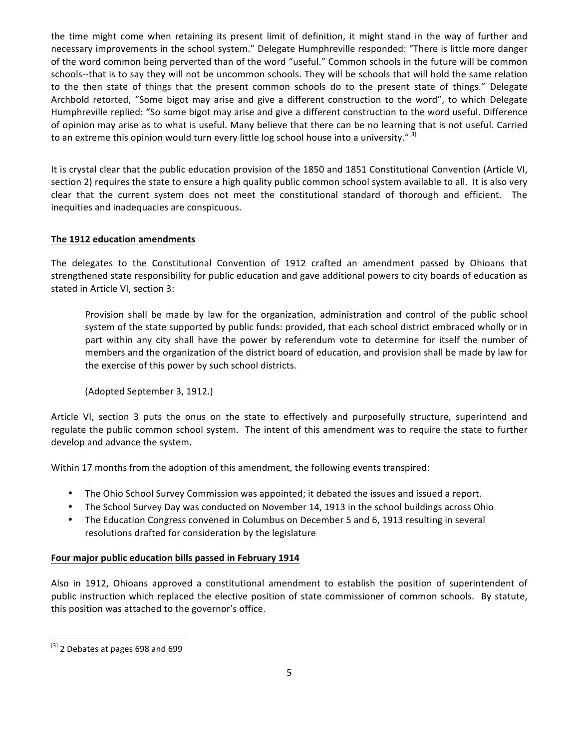the time might come when retaining its present limit of definition, it might stand in the way of further and necessary improvements in the school system." Delegate Humphreville responded: "There is little more danger of the word common being perverted than of the word "useful." Common schools in the future will be common schools--that is to say they will not be uncommon schools. They will be schools that will hold the same relation to the then state of things that the present common schools do to the present state of things." Delegate Archbold retorted, "Some bigot may arise and give a different construction to the word", to which Delegate Humphreville replied: "So some bigot may arise and give a different construction to the word useful. Difference of opinion may arise as to what is useful. Many believe that there can be no learning that is not useful. Carried to an extreme this opinion would turn every little log school house into a university."<sup>[3]</sup>

It is crystal clear that the public education provision of the 1850 and 1851 Constitutional Convention (Article VI, section 2) requires the state to ensure a high quality public common school system available to all. It is also very clear that the current system does not meet the constitutional standard of thorough and efficient. The inequities and inadequacies are conspicuous.

### **The 1912 education amendments**

The delegates to the Constitutional Convention of 1912 crafted an amendment passed by Ohioans that strengthened state responsibility for public education and gave additional powers to city boards of education as stated in Article VI, section 3:

Provision shall be made by law for the organization, administration and control of the public school system of the state supported by public funds: provided, that each school district embraced wholly or in part within any city shall have the power by referendum vote to determine for itself the number of members and the organization of the district board of education, and provision shall be made by law for the exercise of this power by such school districts.

(Adopted September 3, 1912.) 

Article VI, section 3 puts the onus on the state to effectively and purposefully structure, superintend and regulate the public common school system. The intent of this amendment was to require the state to further develop and advance the system.

Within 17 months from the adoption of this amendment, the following events transpired:

- The Ohio School Survey Commission was appointed; it debated the issues and issued a report.
- The School Survey Day was conducted on November 14, 1913 in the school buildings across Ohio
- The Education Congress convened in Columbus on December 5 and 6, 1913 resulting in several resolutions drafted for consideration by the legislature

#### Four major public education bills passed in February 1914

Also in 1912, Ohioans approved a constitutional amendment to establish the position of superintendent of public instruction which replaced the elective position of state commissioner of common schools. By statute, this position was attached to the governor's office.

<sup>&</sup>lt;u> 1989 - Johann Stein, markin film yn y breninn y breninn y breninn y breninn y breninn y breninn y breninn y b</u> [3] 2 Debates at pages 698 and 699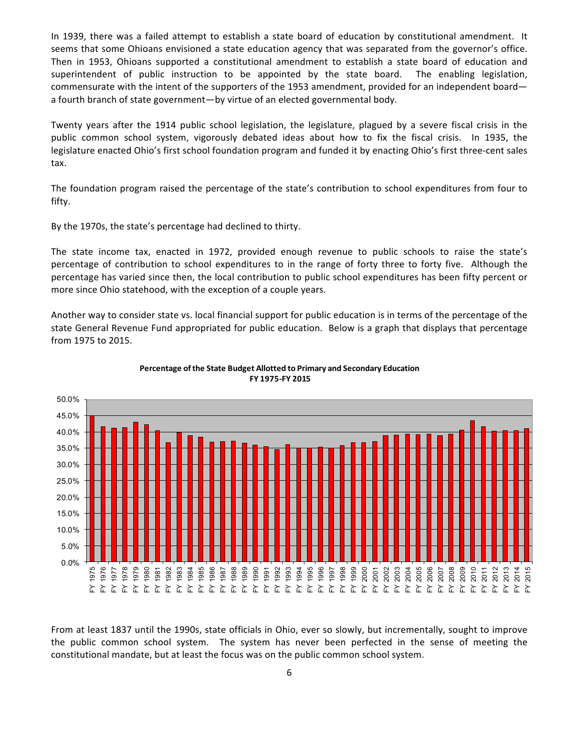In 1939, there was a failed attempt to establish a state board of education by constitutional amendment. It seems that some Ohioans envisioned a state education agency that was separated from the governor's office. Then in 1953, Ohioans supported a constitutional amendment to establish a state board of education and superintendent of public instruction to be appointed by the state board. The enabling legislation, commensurate with the intent of the supporters of the 1953 amendment, provided for an independent board a fourth branch of state government—by virtue of an elected governmental body.

Twenty years after the 1914 public school legislation, the legislature, plagued by a severe fiscal crisis in the public common school system, vigorously debated ideas about how to fix the fiscal crisis. In 1935, the legislature enacted Ohio's first school foundation program and funded it by enacting Ohio's first three-cent sales tax. 

The foundation program raised the percentage of the state's contribution to school expenditures from four to fifty. 

By the 1970s, the state's percentage had declined to thirty.

The state income tax, enacted in 1972, provided enough revenue to public schools to raise the state's percentage of contribution to school expenditures to in the range of forty three to forty five. Although the percentage has varied since then, the local contribution to public school expenditures has been fifty percent or more since Ohio statehood, with the exception of a couple years.

Another way to consider state vs. local financial support for public education is in terms of the percentage of the state General Revenue Fund appropriated for public education. Below is a graph that displays that percentage from 1975 to 2015.





From at least 1837 until the 1990s, state officials in Ohio, ever so slowly, but incrementally, sought to improve the public common school system. The system has never been perfected in the sense of meeting the constitutional mandate, but at least the focus was on the public common school system.